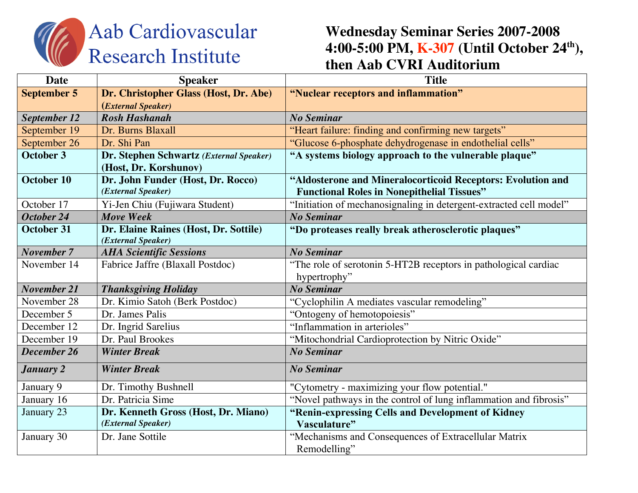

## **Wednesday Seminar Series 2007-2008 4:00-5:00 PM, K-307 (Until October 24th), then Aab CVRI Auditorium**

| <b>Date</b>         | <b>Speaker</b>                          | <b>Title</b>                                                                    |
|---------------------|-----------------------------------------|---------------------------------------------------------------------------------|
| <b>September 5</b>  | Dr. Christopher Glass (Host, Dr. Abe)   | "Nuclear receptors and inflammation"                                            |
|                     | (External Speaker)                      |                                                                                 |
| <b>September 12</b> | <b>Rosh Hashanah</b>                    | <b>No Seminar</b>                                                               |
| September 19        | Dr. Burns Blaxall                       | "Heart failure: finding and confirming new targets"                             |
| September 26        | Dr. Shi Pan                             | "Glucose 6-phosphate dehydrogenase in endothelial cells"                        |
| October 3           | Dr. Stephen Schwartz (External Speaker) | "A systems biology approach to the vulnerable plaque"                           |
|                     | (Host, Dr. Korshunov)                   |                                                                                 |
| October 10          | Dr. John Funder (Host, Dr. Rocco)       | "Aldosterone and Mineralocorticoid Receptors: Evolution and                     |
|                     | (External Speaker)                      | <b>Functional Roles in Nonepithelial Tissues"</b>                               |
| October 17          | Yi-Jen Chiu (Fujiwara Student)          | "Initiation of mechanosignaling in detergent-extracted cell model"              |
| October 24          | <b>Move Week</b>                        | <b>No Seminar</b>                                                               |
| <b>October 31</b>   | Dr. Elaine Raines (Host, Dr. Sottile)   | "Do proteases really break atherosclerotic plaques"                             |
|                     | (External Speaker)                      |                                                                                 |
| <b>November 7</b>   | <b>AHA Scientific Sessions</b>          | <b>No Seminar</b>                                                               |
| November 14         | Fabrice Jaffre (Blaxall Postdoc)        | "The role of serotonin 5-HT2B receptors in pathological cardiac<br>hypertrophy" |
| <b>November 21</b>  | <b>Thanksgiving Holiday</b>             | <b>No Seminar</b>                                                               |
| November 28         | Dr. Kimio Satoh (Berk Postdoc)          | "Cyclophilin A mediates vascular remodeling"                                    |
| December 5          | Dr. James Palis                         | "Ontogeny of hemotopoiesis"                                                     |
| December 12         | Dr. Ingrid Sarelius                     | "Inflammation in arterioles"                                                    |
| December 19         | Dr. Paul Brookes                        | "Mitochondrial Cardioprotection by Nitric Oxide"                                |
| December 26         | <b>Winter Break</b>                     | <b>No Seminar</b>                                                               |
| <b>January 2</b>    | <b>Winter Break</b>                     | <b>No Seminar</b>                                                               |
| January 9           | Dr. Timothy Bushnell                    | "Cytometry - maximizing your flow potential."                                   |
| January 16          | Dr. Patricia Sime                       | "Novel pathways in the control of lung inflammation and fibrosis"               |
| January 23          | Dr. Kenneth Gross (Host, Dr. Miano)     | "Renin-expressing Cells and Development of Kidney                               |
|                     | (External Speaker)                      | Vasculature"                                                                    |
| January 30          | Dr. Jane Sottile                        | "Mechanisms and Consequences of Extracellular Matrix                            |
|                     |                                         | Remodelling"                                                                    |